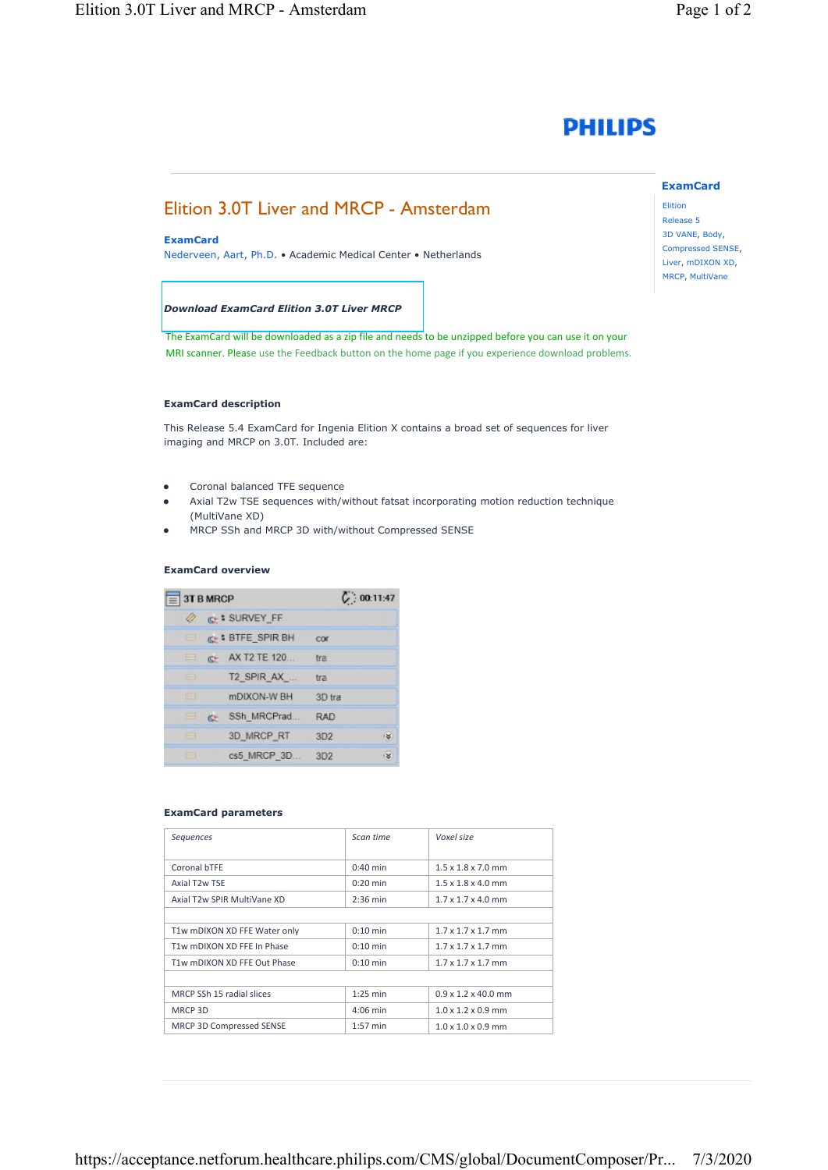# **PHILIPS**

## Elition 3.0T Liver and MRCP - Amsterdam

#### **ExamCard**

Nederveen, Aart, Ph.D. • Academic Medical Center • Netherlands

#### *Download ExamCard [Elition 3.0T Liver MRCP](https://www.philips.com/c-dam/b2bhc/master/sites/netforum/zips/Elition-3T-MRCP.zip)*

The ExamCard will be downloaded as a zip file and needs to be unzipped before you can use it on your MRI scanner. Please use the Feedback button on the home page if you experience download problems.

#### **ExamCard description**

This Release 5.4 ExamCard for Ingenia Elition X contains a broad set of sequences for liver imaging and MRCP on 3.0T. Included are:

- Coronal balanced TFE sequence
- Axial T2w TSE sequences with/without fatsat incorporating motion reduction technique (MultiVane XD)
- MRCP SSh and MRCP 3D with/without Compressed SENSE

#### **ExamCard overview**

| 3T B MRCP   |           |                           | C: 00:11:47 |  |
|-------------|-----------|---------------------------|-------------|--|
| D           |           | <b>C+ &amp; SURVEY FF</b> |             |  |
| <b>STEP</b> |           | <b>CHE SPIR BH</b>        | COT         |  |
| ⊟           |           | <b>C</b> AX T2 TE 120     | tra         |  |
| 曲           |           | T2_SPIR_AX_               | tra         |  |
| e           |           | mDIXON-W BH               | 3D tra      |  |
| $\equiv$    | <b>KP</b> | SSh MRCPrad               | RAD         |  |
| $\equiv$    |           | 3D MRCP RT                | i¥.<br>3D2  |  |
| 田           |           | cs5 MRCP 3D               | is<br>3D2   |  |

#### **ExamCard parameters**

| Seguences                    | Scan time          | Voxel size                      |
|------------------------------|--------------------|---------------------------------|
| Coronal bTFE                 | $0:40$ min         | $1.5 \times 1.8 \times 7.0$ mm  |
| Axial T <sub>2</sub> w TSE   | $0:20$ min         | $1.5 \times 1.8 \times 4.0$ mm  |
| Axial T2w SPIR MultiVane XD  | $2:36 \text{ min}$ | $1.7 \times 1.7 \times 4.0$ mm  |
|                              |                    |                                 |
| T1w mDIXON XD FFE Water only | $0:10$ min         | $1.7 \times 1.7 \times 1.7$ mm  |
| T1w mDIXON XD FFE In Phase   | $0:10$ min         | $1.7 \times 1.7 \times 1.7$ mm  |
| T1w mDIXON XD FFE Out Phase  | $0:10$ min         | $1.7 \times 1.7 \times 1.7$ mm  |
|                              |                    |                                 |
| MRCP SSh 15 radial slices    | $1:25$ min         | $0.9 \times 1.2 \times 40.0$ mm |
| MRCP 3D                      | $4:06$ min         | $1.0 \times 1.2 \times 0.9$ mm  |
| MRCP 3D Compressed SENSE     | $1:57$ min         | $1.0 \times 1.0 \times 0.9$ mm  |
|                              |                    |                                 |

**ExamCard**  Elition Release 5 3D VANE, Body, Compressed SENSE, Liver, mDIXON XD, MRCP, MultiVane